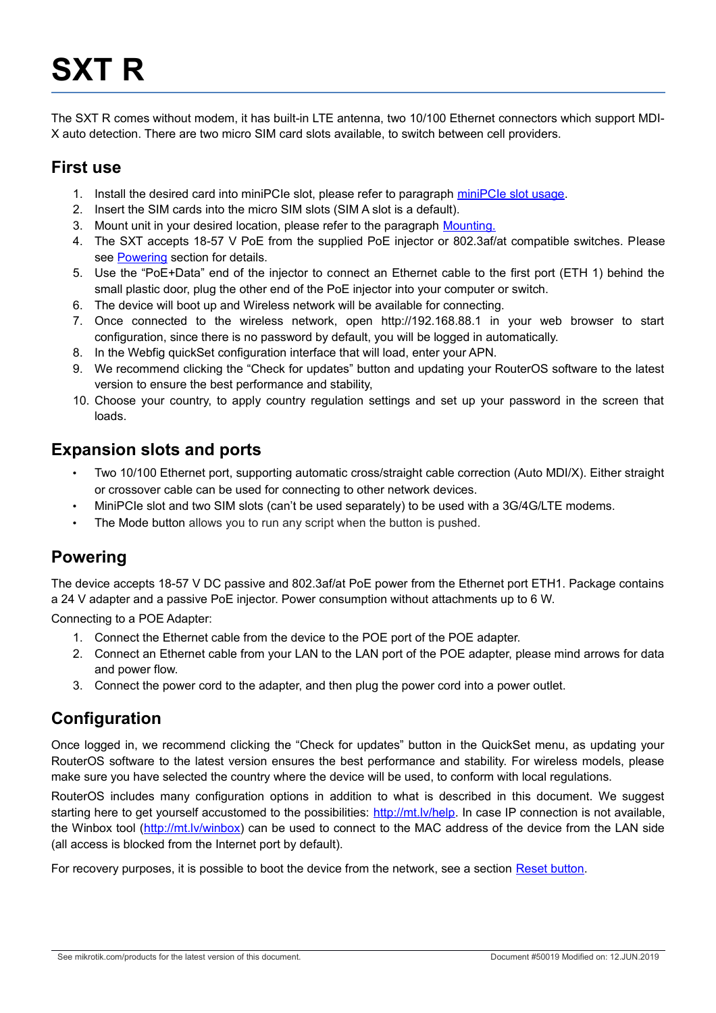# **SXT R**

The SXT R comes without modem, it has built-in LTE antenna, two 10/100 Ethernet connectors which support MDI-X auto detection. There are two micro SIM card slots available, to switch between cell providers.

#### **First use**

- 1. Install the desired card into miniPCIe slot, please refer to paragraph [miniPCIe slot usage.](#page-1-0)
- 2. Insert the SIM cards into the micro SIM slots (SIM A slot is a default).
- 3. Mount unit in your desired location, please refer to the paragraph [Mounting.](#page-2-0)
- 4. The SXT accepts 18-57 V PoE from the supplied PoE injector or 802.3af/at compatible switches. Please see [Powering](#page-0-0) section for details.
- 5. Use the "PoE+Data" end of the injector to connect an Ethernet cable to the first port (ETH 1) behind the small plastic door, plug the other end of the PoE injector into your computer or switch.
- 6. The device will boot up and Wireless network will be available for connecting.
- 7. Once connected to the wireless network, open http://192.168.88.1 in your web browser to start configuration, since there is no password by default, you will be logged in automatically.
- 8. In the Webfig quickSet configuration interface that will load, enter your APN.
- 9. We recommend clicking the "Check for updates" button and updating your RouterOS software to the latest version to ensure the best performance and stability,
- 10. Choose your country, to apply country regulation settings and set up your password in the screen that loads.

#### **Expansion slots and ports**

- Two 10/100 Ethernet port, supporting automatic cross/straight cable correction (Auto MDI/X). Either straight or crossover cable can be used for connecting to other network devices.
- MiniPCIe slot and two SIM slots (can't be used separately) to be used with a 3G/4G/LTE modems.
- The Mode button allows you to run any script when the button is pushed.

## <span id="page-0-0"></span>**Powering**

The device accepts 18-57 V DC passive and 802.3af/at PoE power from the Ethernet port ETH1. Package contains a 24 V adapter and a passive PoE injector. Power consumption without attachments up to 6 W.

Connecting to a POE Adapter:

- 1. Connect the Ethernet cable from the device to the POE port of the POE adapter.
- 2. Connect an Ethernet cable from your LAN to the LAN port of the POE adapter, please mind arrows for data and power flow.
- 3. Connect the power cord to the adapter, and then plug the power cord into a power outlet.

## **Configuration**

Once logged in, we recommend clicking the "Check for updates" button in the QuickSet menu, as updating your RouterOS software to the latest version ensures the best performance and stability. For wireless models, please make sure you have selected the country where the device will be used, to conform with local regulations.

RouterOS includes many configuration options in addition to what is described in this document. We suggest starting here to get yourself accustomed to the possibilities: [http://mt.lv/help.](http://mt.lv/help) In case IP connection is not available, the Winbox tool [\(http://mt.lv/winbox\)](http://mt.lv/winbox) can be used to connect to the MAC address of the device from the LAN side (all access is blocked from the Internet port by default).

For recovery purposes, it is possible to boot the device from the network, see a section [Reset button.](#page-3-0)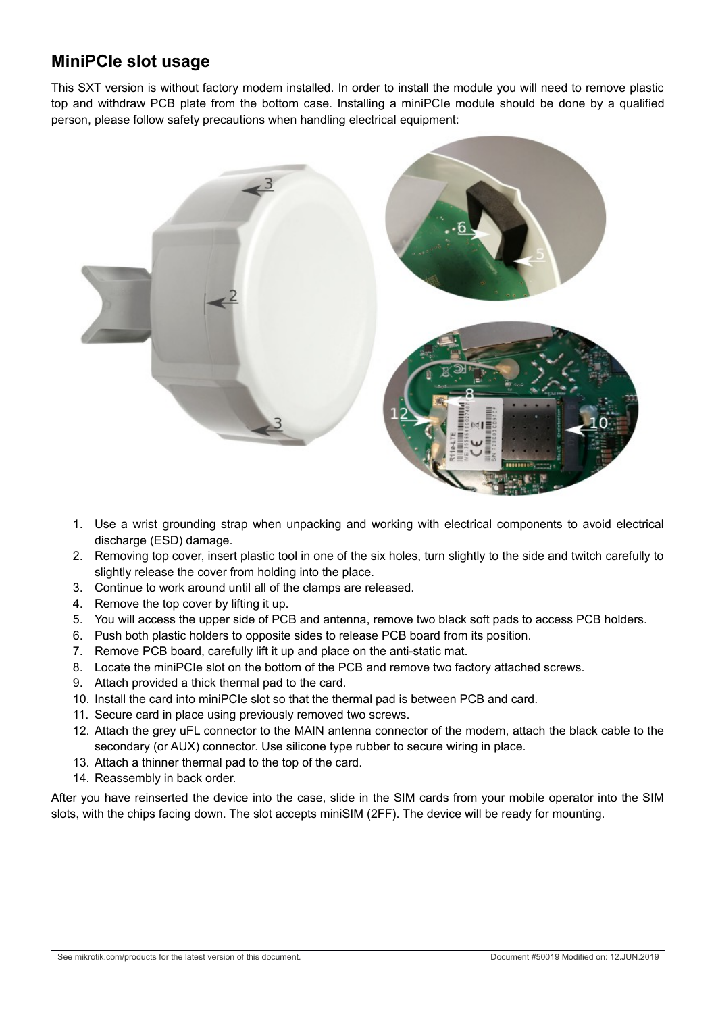# <span id="page-1-0"></span>**MiniPCIe slot usage**

This SXT version is without factory modem installed. In order to install the module you will need to remove plastic top and withdraw PCB plate from the bottom case. Installing a miniPCIe module should be done by a qualified person, please follow safety precautions when handling electrical equipment:



- 1. Use a wrist grounding strap when unpacking and working with electrical components to avoid electrical discharge (ESD) damage.
- 2. Removing top cover, insert plastic tool in one of the six holes, turn slightly to the side and twitch carefully to slightly release the cover from holding into the place.
- 3. Continue to work around until all of the clamps are released.
- 4. Remove the top cover by lifting it up.
- 5. You will access the upper side of PCB and antenna, remove two black soft pads to access PCB holders.
- 6. Push both plastic holders to opposite sides to release PCB board from its position.
- 7. Remove PCB board, carefully lift it up and place on the anti-static mat.
- 8. Locate the miniPCIe slot on the bottom of the PCB and remove two factory attached screws.
- 9. Attach provided a thick thermal pad to the card.
- 10. Install the card into miniPCIe slot so that the thermal pad is between PCB and card.
- 11. Secure card in place using previously removed two screws.
- 12. Attach the grey uFL connector to the MAIN antenna connector of the modem, attach the black cable to the secondary (or AUX) connector. Use silicone type rubber to secure wiring in place.
- 13. Attach a thinner thermal pad to the top of the card.
- 14. Reassembly in back order.

After you have reinserted the device into the case, slide in the SIM cards from your mobile operator into the SIM slots, with the chips facing down. The slot accepts miniSIM (2FF). The device will be ready for mounting.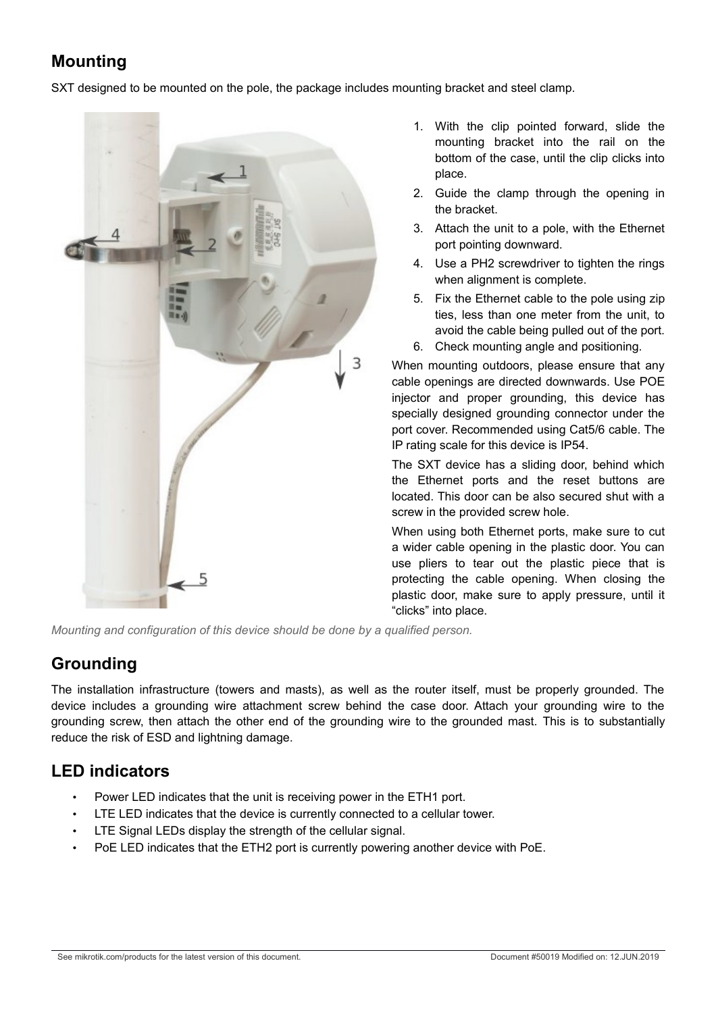# <span id="page-2-0"></span>**Mounting**

SXT designed to be mounted on the pole, the package includes mounting bracket and steel clamp.



- 1. With the clip pointed forward, slide the mounting bracket into the rail on the bottom of the case, until the clip clicks into place.
- 2. Guide the clamp through the opening in the bracket.
- 3. Attach the unit to a pole, with the Ethernet port pointing downward.
- 4. Use a PH2 screwdriver to tighten the rings when alignment is complete.
- 5. Fix the Ethernet cable to the pole using zip ties, less than one meter from the unit, to avoid the cable being pulled out of the port.
- 6. Check mounting angle and positioning.

When mounting outdoors, please ensure that any cable openings are directed downwards. Use POE injector and proper grounding, this device has specially designed grounding connector under the port cover. Recommended using Cat5/6 cable. The IP rating scale for this device is IP54.

The SXT device has a sliding door, behind which the Ethernet ports and the reset buttons are located. This door can be also secured shut with a screw in the provided screw hole.

When using both Ethernet ports, make sure to cut a wider cable opening in the plastic door. You can use pliers to tear out the plastic piece that is protecting the cable opening. When closing the plastic door, make sure to apply pressure, until it "clicks" into place.

*Mounting and configuration of this device should be done by a qualified person.*

# **Grounding**

The installation infrastructure (towers and masts), as well as the router itself, must be properly grounded. The device includes a grounding wire attachment screw behind the case door. Attach your grounding wire to the grounding screw, then attach the other end of the grounding wire to the grounded mast. This is to substantially reduce the risk of ESD and lightning damage.

# **LED indicators**

- Power LED indicates that the unit is receiving power in the ETH1 port.
- LTE LED indicates that the device is currently connected to a cellular tower.
- LTE Signal LEDs display the strength of the cellular signal.
- PoE LED indicates that the ETH2 port is currently powering another device with PoE.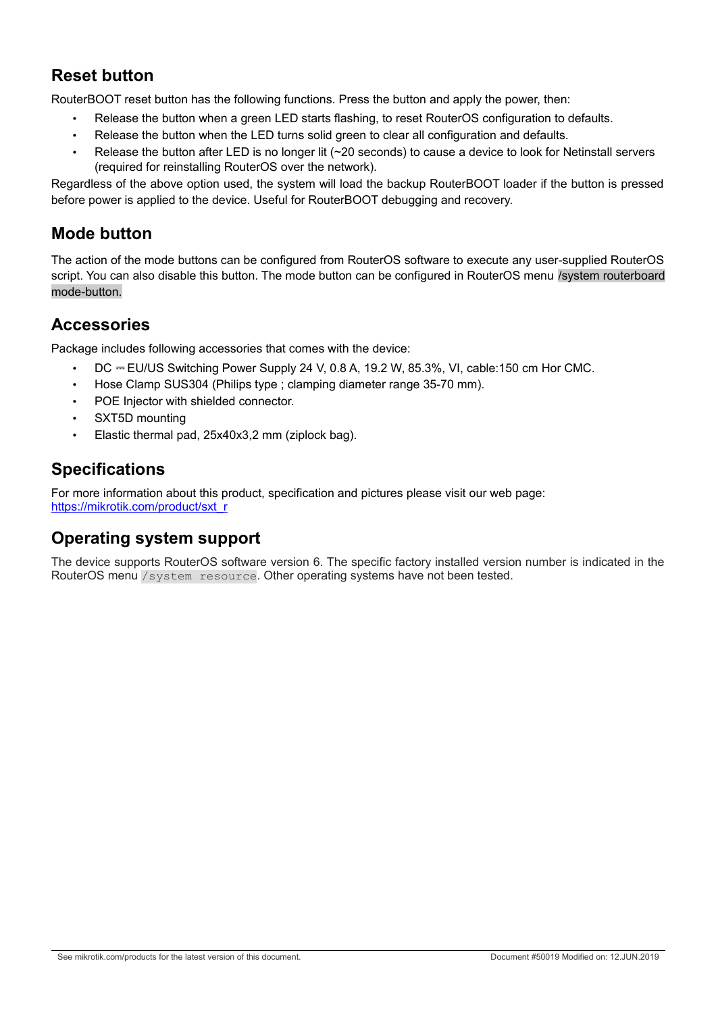# <span id="page-3-0"></span>**Reset button**

RouterBOOT reset button has the following functions. Press the button and apply the power, then:

- Release the button when a green LED starts flashing, to reset RouterOS configuration to defaults.
- Release the button when the LED turns solid green to clear all configuration and defaults.
- Release the button after LED is no longer lit (~20 seconds) to cause a device to look for Netinstall servers (required for reinstalling RouterOS over the network).

Regardless of the above option used, the system will load the backup RouterBOOT loader if the button is pressed before power is applied to the device. Useful for RouterBOOT debugging and recovery.

# **Mode button**

The action of the mode buttons can be configured from RouterOS software to execute any user-supplied RouterOS script. You can also disable this button. The mode button can be configured in RouterOS menu /system routerboard mode-button.

### **Accessories**

Package includes following accessories that comes with the device:

- DC ⎓ EU/US Switching Power Supply 24 V, 0.8 A, 19.2 W, 85.3%, VI, cable:150 cm Hor CMC.
- Hose Clamp SUS304 (Philips type ; clamping diameter range 35-70 mm).
- POE Injector with shielded connector.
- SXT5D mounting
- Elastic thermal pad, 25x40x3,2 mm (ziplock bag).

### **Specifications**

For more information about this product, specification and pictures please visit our web page: [https://mikrotik.com/product/sxt\\_r](https://mikrotik.com/product/sxt_r)

## **Operating system support**

The device supports RouterOS software version 6. The specific factory installed version number is indicated in the RouterOS menu /system resource. Other operating systems have not been tested.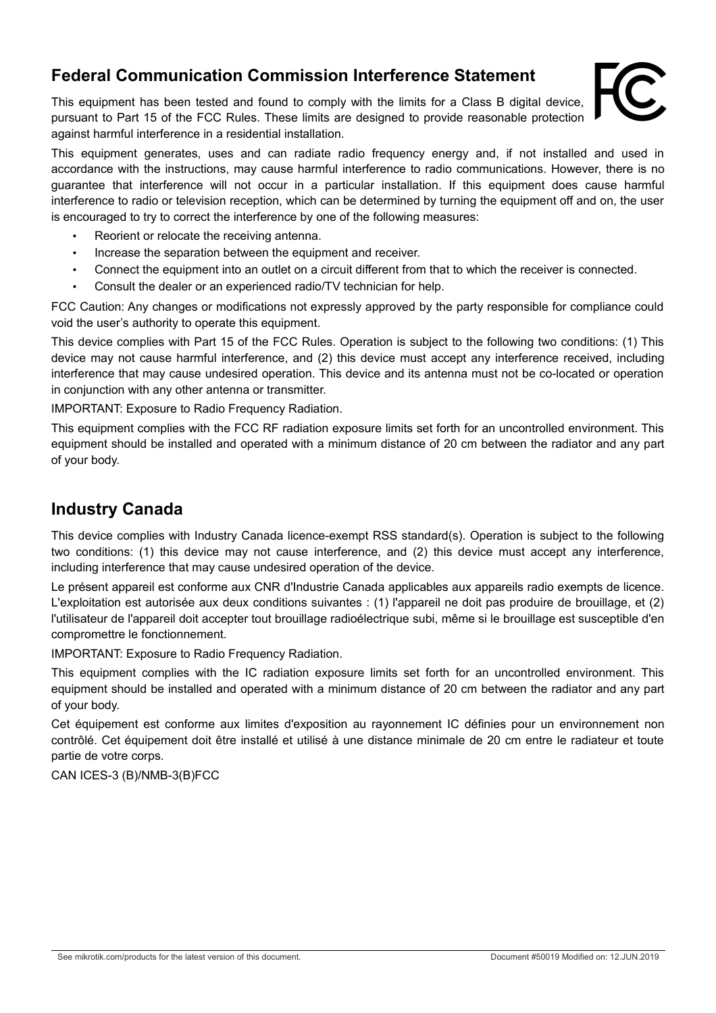# **Federal Communication Commission Interference Statement**

This equipment has been tested and found to comply with the limits for a Class B digital device, pursuant to Part 15 of the FCC Rules. These limits are designed to provide reasonable protection against harmful interference in a residential installation.



This equipment generates, uses and can radiate radio frequency energy and, if not installed and used in accordance with the instructions, may cause harmful interference to radio communications. However, there is no guarantee that interference will not occur in a particular installation. If this equipment does cause harmful interference to radio or television reception, which can be determined by turning the equipment off and on, the user is encouraged to try to correct the interference by one of the following measures:

- Reorient or relocate the receiving antenna.
- Increase the separation between the equipment and receiver.
- Connect the equipment into an outlet on a circuit different from that to which the receiver is connected.
- Consult the dealer or an experienced radio/TV technician for help.

FCC Caution: Any changes or modifications not expressly approved by the party responsible for compliance could void the user's authority to operate this equipment.

This device complies with Part 15 of the FCC Rules. Operation is subject to the following two conditions: (1) This device may not cause harmful interference, and (2) this device must accept any interference received, including interference that may cause undesired operation. This device and its antenna must not be co-located or operation in conjunction with any other antenna or transmitter.

IMPORTANT: Exposure to Radio Frequency Radiation.

This equipment complies with the FCC RF radiation exposure limits set forth for an uncontrolled environment. This equipment should be installed and operated with a minimum distance of 20 cm between the radiator and any part of your body.

#### **Industry Canada**

This device complies with Industry Canada licence-exempt RSS standard(s). Operation is subject to the following two conditions: (1) this device may not cause interference, and (2) this device must accept any interference, including interference that may cause undesired operation of the device.

Le présent appareil est conforme aux CNR d'Industrie Canada applicables aux appareils radio exempts de licence. L'exploitation est autorisée aux deux conditions suivantes : (1) l'appareil ne doit pas produire de brouillage, et (2) l'utilisateur de l'appareil doit accepter tout brouillage radioélectrique subi, même si le brouillage est susceptible d'en compromettre le fonctionnement.

IMPORTANT: Exposure to Radio Frequency Radiation.

This equipment complies with the IC radiation exposure limits set forth for an uncontrolled environment. This equipment should be installed and operated with a minimum distance of 20 cm between the radiator and any part of your body.

Cet équipement est conforme aux limites d'exposition au rayonnement IC définies pour un environnement non contrôlé. Cet équipement doit être installé et utilisé à une distance minimale de 20 cm entre le radiateur et toute partie de votre corps.

CAN ICES-3 (B)/NMB-3(B)FCC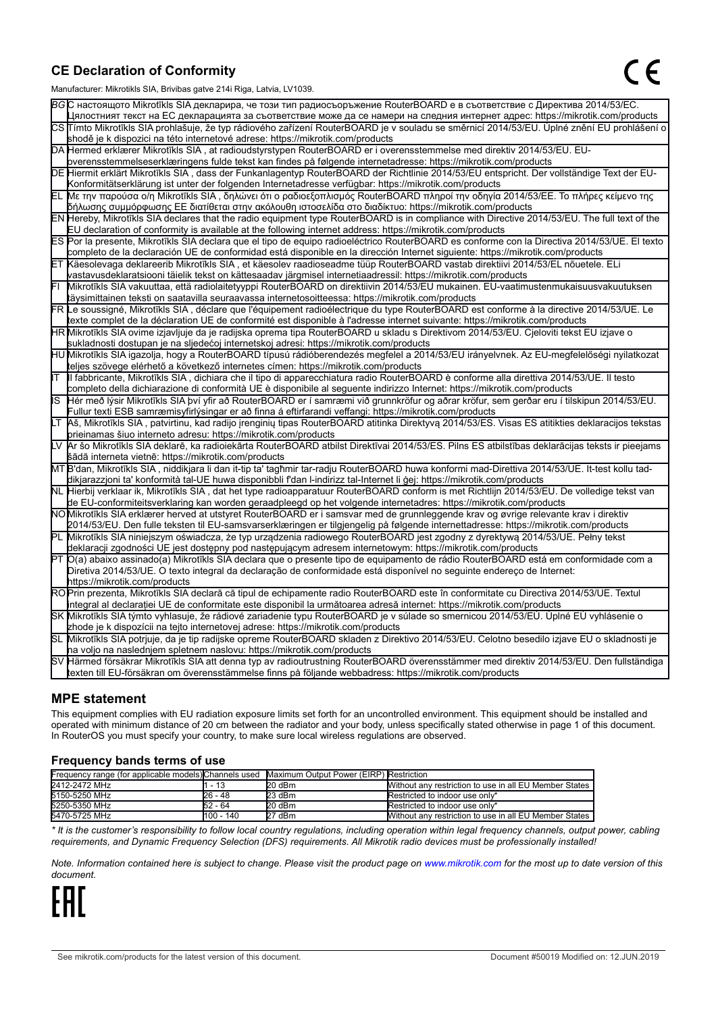#### **CE Declaration of Conformity**

Manufacturer: Mikrotikls SIA, Brivibas gatve 214i Riga, Latvia, LV1039.

|    | ividi iulaciui ci . Iviiri olinis OIA, Diivibas yatvo Z III inga, Latvia, Lv 1009                                                                                                                                                                         |  |  |  |  |
|----|-----------------------------------------------------------------------------------------------------------------------------------------------------------------------------------------------------------------------------------------------------------|--|--|--|--|
|    | ВСС настоящото Mikrotīkls SIA декларира, че този тип радиосъоръжение RouterBOARD е в съответствие с Директива 2014/53/EC.                                                                                                                                 |  |  |  |  |
|    | Цялостният текст на ЕС декларацията за съответствие може да се намери на следния интернет адрес: https://mikrotik.com/products                                                                                                                            |  |  |  |  |
|    | CS Tímto Mikrotīkls SIA prohlašuje, že typ rádiového zařízení RouterBOARD je v souladu se směrnicí 2014/53/EU. Úplné znění EU prohlášení o                                                                                                                |  |  |  |  |
|    | shodě je k dispozici na této internetové adrese: https://mikrotik.com/products                                                                                                                                                                            |  |  |  |  |
|    | DA Hermed erklærer Mikrotīkls SIA, at radioudstyrstypen RouterBOARD er i overensstemmelse med direktiv 2014/53/EU. EU-                                                                                                                                    |  |  |  |  |
|    | overensstemmelseserklæringens fulde tekst kan findes på følgende internetadresse: https://mikrotik.com/products                                                                                                                                           |  |  |  |  |
|    | DE Hiermit erklärt Mikrotīkls SIA, dass der Funkanlagentyp RouterBOARD der Richtlinie 2014/53/EU entspricht. Der vollständige Text der EU-                                                                                                                |  |  |  |  |
|    | Konformitätserklärung ist unter der folgenden Internetadresse verfügbar: https://mikrotik.com/products                                                                                                                                                    |  |  |  |  |
| ΕL | Με την παρούσα ο/η Mikrotīkls SIA, δηλώνει ότι ο ραδιοεξοπλισμός RouterBOARD πληροί την οδηγία 2014/53/ΕΕ. Το πλήρες κείμενο της<br>δήλωσης συμμόρφωσης ΕΕ διατίθεται στην ακόλουθη ιστοσελίδα στο διαδίκτυο: https://mikrotik.com/products               |  |  |  |  |
|    | EN Hereby, Mikrotīkls SIA declares that the radio equipment type RouterBOARD is in compliance with Directive 2014/53/EU. The full text of the                                                                                                             |  |  |  |  |
|    | EU declaration of conformity is available at the following internet address: https://mikrotik.com/products                                                                                                                                                |  |  |  |  |
|    | ES Por la presente, Mikrotīkls SIA declara que el tipo de equipo radioeléctrico RouterBOARD es conforme con la Directiva 2014/53/UE. El texto                                                                                                             |  |  |  |  |
|    | completo de la declaración UE de conformidad está disponible en la dirección Internet siguiente: https://mikrotik.com/products                                                                                                                            |  |  |  |  |
|    | ET Käesolevaga deklareerib Mikrotīkls SIA, et käesolev raadioseadme tüüp RouterBOARD vastab direktiivi 2014/53/EL nõuetele. ELi                                                                                                                           |  |  |  |  |
|    | vastavusdeklaratsiooni täielik tekst on kättesaadav järgmisel internetiaadressil: https://mikrotik.com/products                                                                                                                                           |  |  |  |  |
|    | Mikrotīkls SIA vakuuttaa, että radiolaitetyyppi RouterBOARD on direktiivin 2014/53/EU mukainen. EU-vaatimustenmukaisuusvakuutuksen                                                                                                                        |  |  |  |  |
|    | täysimittainen teksti on saatavilla seuraavassa internetosoitteessa: https://mikrotik.com/products                                                                                                                                                        |  |  |  |  |
|    | FR Le soussigné, Mikrotīkls SIA , déclare que l'équipement radioélectrique du type RouterBOARD est conforme à la directive 2014/53/UE. Le                                                                                                                 |  |  |  |  |
|    | texte complet de la déclaration UE de conformité est disponible à l'adresse internet suivante: https://mikrotik.com/products                                                                                                                              |  |  |  |  |
|    | HR Mikrotīkls SIA ovime izjavljuje da je radijska oprema tipa RouterBOARD u skladu s Direktivom 2014/53/EU. Cjeloviti tekst EU izjave o                                                                                                                   |  |  |  |  |
|    | sukladnosti dostupan je na sljedećoj internetskoj adresi: https://mikrotik.com/products                                                                                                                                                                   |  |  |  |  |
|    | HU Mikrotīkls SIA igazolja, hogy a RouterBOARD típusú rádióberendezés megfelel a 2014/53/EU irányelvnek. Az EU-megfelelőségi nyilatkozat                                                                                                                  |  |  |  |  |
|    | teljes szövege elérhető a következő internetes címen: https://mikrotik.com/products                                                                                                                                                                       |  |  |  |  |
| lΤ | Il fabbricante, Mikrotīkls SIA, dichiara che il tipo di apparecchiatura radio RouterBOARD è conforme alla direttiva 2014/53/UE. Il testo                                                                                                                  |  |  |  |  |
|    | completo della dichiarazione di conformità UE è disponibile al seguente indirizzo Internet: https://mikrotik.com/products                                                                                                                                 |  |  |  |  |
| IS | Hér með lýsir Mikrotīkls SIA því yfir að RouterBOARD er í samræmi við grunnkröfur og aðrar kröfur, sem gerðar eru í tilskipun 2014/53/EU.                                                                                                                 |  |  |  |  |
|    | Fullur texti ESB samræmisyfirlýsingar er að finna á eftirfarandi veffangi: https://mikrotik.com/products                                                                                                                                                  |  |  |  |  |
| LТ | Aš, Mikrotīkls SIA, patvirtinu, kad radijo įrenginių tipas RouterBOARD atitinka Direktyvą 2014/53/ES. Visas ES atitikties deklaracijos tekstas                                                                                                            |  |  |  |  |
|    | prieinamas šiuo interneto adresu: https://mikrotik.com/products                                                                                                                                                                                           |  |  |  |  |
|    | Ar šo Mikrotīkls SIA deklarē, ka radioiekārta RouterBOARD atbilst Direktīvai 2014/53/ES. Pilns ES atbilstības deklarācijas teksts ir pieejams                                                                                                             |  |  |  |  |
|    | šādā interneta vietnē: https://mikrotik.com/products                                                                                                                                                                                                      |  |  |  |  |
|    | MT B'dan, Mikrotīkls SIA , niddikjara li dan it-tip ta' tagħmir tar-radju RouterBOARD huwa konformi mad-Direttiva 2014/53/UE. It-test kollu tad-                                                                                                          |  |  |  |  |
|    | dikjarazzjoni ta' konformità tal-UE huwa disponibbli f'dan l-indirizz tal-Internet li ġej: https://mikrotik.com/products                                                                                                                                  |  |  |  |  |
|    | NL  Hierbij verklaar ik, Mikrotīkls SIA , dat het type radioapparatuur RouterBOARD conform is met Richtlijn 2014/53/EU. De volledige tekst van                                                                                                            |  |  |  |  |
|    | de EU-conformiteitsverklaring kan worden geraadpleegd op het volgende internetadres: https://mikrotik.com/products<br>NOMikrotīkls SIA erklærer herved at utstyret RouterBOARD er i samsvar med de grunnleggende krav og øvrige relevante krav i direktiv |  |  |  |  |
|    | 2014/53/EU. Den fulle teksten til EU-samsvarserklæringen er tilgjengelig på følgende internettadresse: https://mikrotik.com/products                                                                                                                      |  |  |  |  |
|    | Mikrotīkls SIA niniejszym oświadcza, że typ urządzenia radiowego RouterBOARD jest zgodny z dyrektywą 2014/53/UE. Pełny tekst                                                                                                                              |  |  |  |  |
|    | deklaracji zgodności UE jest dostępny pod następującym adresem internetowym: https://mikrotik.com/products                                                                                                                                                |  |  |  |  |
|    | PT O(a) abaixo assinado(a) Mikrotīkls SIA declara que o presente tipo de equipamento de rádio RouterBOARD está em conformidade com a                                                                                                                      |  |  |  |  |
|    | Diretiva 2014/53/UE. O texto integral da declaração de conformidade está disponível no seguinte endereço de Internet:                                                                                                                                     |  |  |  |  |
|    | https://mikrotik.com/products                                                                                                                                                                                                                             |  |  |  |  |
|    | ROPrin prezenta, Mikrotīkls SIA declară că tipul de echipamente radio RouterBOARD este în conformitate cu Directiva 2014/53/UE. Textul                                                                                                                    |  |  |  |  |
|    | integral al declaratiei UE de conformitate este disponibil la următoarea adresă internet: https://mikrotik.com/products                                                                                                                                   |  |  |  |  |
|    | SK Mikrotīkls SIA týmto vyhlasuje, že rádiové zariadenie typu RouterBOARD je v súlade so smernicou 2014/53/EÚ. Úplné EÚ vyhlásenie o                                                                                                                      |  |  |  |  |
|    | zhode je k dispozícii na tejto internetovej adrese: https://mikrotik.com/products                                                                                                                                                                         |  |  |  |  |
|    | SL Mikrotīkls SIA potrjuje, da je tip radijske opreme RouterBOARD skladen z Direktivo 2014/53/EU. Celotno besedilo izjave EU o skladnosti je                                                                                                              |  |  |  |  |
|    | na voljo na naslednjem spletnem naslovu: https://mikrotik.com/products                                                                                                                                                                                    |  |  |  |  |
|    | SV Härmed försäkrar Mikrotīkls SIA att denna typ av radioutrustning RouterBOARD överensstämmer med direktiv 2014/53/EU. Den fullständiga                                                                                                                  |  |  |  |  |
|    | texten till EU-försäkran om överensstämmelse finns på följande webbadress: https://mikrotik.com/products                                                                                                                                                  |  |  |  |  |

#### **MPE statement**

This equipment complies with EU radiation exposure limits set forth for an uncontrolled environment. This equipment should be installed and operated with minimum distance of 20 cm between the radiator and your body, unless specifically stated otherwise in page 1 of this document. In RouterOS you must specify your country, to make sure local wireless regulations are observed.

#### **Frequency bands terms of use**

| Frequency range (for applicable models) Channels used Maximum Output Power (EIRP) Restriction |           |          |                                                        |
|-----------------------------------------------------------------------------------------------|-----------|----------|--------------------------------------------------------|
| 2412-2472 MHz                                                                                 | - 13      | $20$ dBm | Without any restriction to use in all EU Member States |
| 5150-5250 MHz                                                                                 | 26 - 48   | 23 dBm   | Restricted to indoor use only*                         |
| 5250-5350 MHz                                                                                 | 52 - 64   | $20$ dBm | Restricted to indoor use only*                         |
| 5470-5725 MHz                                                                                 | 100 - 140 | 27 dBm   | Without any restriction to use in all EU Member States |

*\* It is the customer's responsibility to follow local country regulations, including operation within legal frequency channels, output power, cabling requirements, and Dynamic Frequency Selection (DFS) requirements. All Mikrotik radio devices must be professionally installed!*

*Note. Information contained here is subject to change. Please visit the product page on [www.mikrotik.com](http://www.mikrotik.com/) for the most up to date version of this document.*